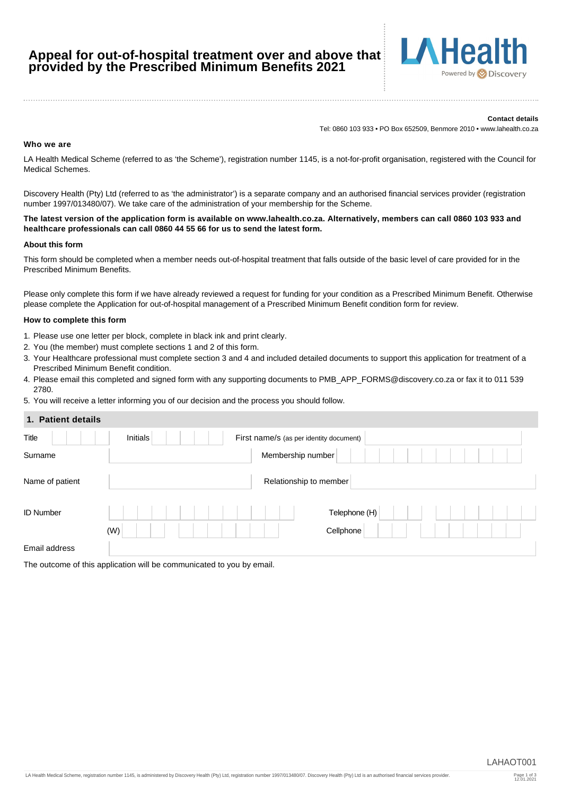# **Appeal for out-of-hospital treatment over and above that provided by the Prescribed Minimum Benefits 2021**



#### **Contact details**

Tel: 0860 103 933 • PO Box 652509, Benmore 2010 • www.lahealth.co.za

#### **Who we are**

LA Health Medical Scheme (referred to as 'the Scheme'), registration number 1145, is a not-for-profit organisation, registered with the Council for Medical Schemes.

Discovery Health (Pty) Ltd (referred to as 'the administrator') is a separate company and an authorised financial services provider (registration number 1997/013480/07). We take care of the administration of your membership for the Scheme.

**The latest version of the application form is available on www.lahealth.co.za. Alternatively, members can call 0860 103 933 and healthcare professionals can call 0860 44 55 66 for us to send the latest form.**

#### **About this form**

This form should be completed when a member needs out-of-hospital treatment that falls outside of the basic level of care provided for in the Prescribed Minimum Benefits.

Please only complete this form if we have already reviewed a request for funding for your condition as a Prescribed Minimum Benefit. Otherwise please complete the Application for out-of-hospital management of a Prescribed Minimum Benefit condition form for review.

#### **How to complete this form**

- 1. Please use one letter per block, complete in black ink and print clearly.
- 2. You (the member) must complete sections 1 and 2 of this form.
- 3. Your Healthcare professional must complete section 3 and 4 and included detailed documents to support this application for treatment of a Prescribed Minimum Benefit condition.
- 4. Please email this completed and signed form with any supporting documents to PMB\_APP\_FORMS@discovery.co.za or fax it to 011 539 2780.
- 5. You will receive a letter informing you of our decision and the process you should follow.

# **1. Patient details**

| <b>1. Fauth utidis</b> |                                                     |
|------------------------|-----------------------------------------------------|
| Title                  | Initials<br>First name/s (as per identity document) |
| Surname                | Membership number                                   |
| Name of patient        | Relationship to member                              |
| ID Number              | Telephone (H)                                       |
|                        | Cellphone<br>(W)                                    |
| Email address          |                                                     |

The outcome of this application will be communicated to you by email.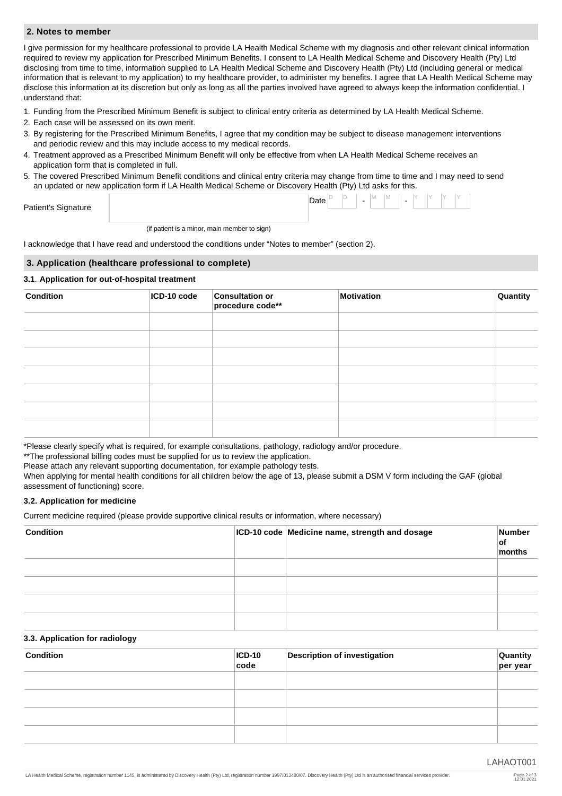### **2. Notes to member**

I give permission for my healthcare professional to provide LA Health Medical Scheme with my diagnosis and other relevant clinical information required to review my application for Prescribed Minimum Benefits. I consent to LA Health Medical Scheme and Discovery Health (Pty) Ltd disclosing from time to time, information supplied to LA Health Medical Scheme and Discovery Health (Pty) Ltd (including general or medical information that is relevant to my application) to my healthcare provider, to administer my benefits. I agree that LA Health Medical Scheme may disclose this information at its discretion but only as long as all the parties involved have agreed to always keep the information confidential. I understand that:

- 1. Funding from the Prescribed Minimum Benefit is subject to clinical entry criteria as determined by LA Health Medical Scheme.
- 2. Each case will be assessed on its own merit.
- 3. By registering for the Prescribed Minimum Benefits, I agree that my condition may be subject to disease management interventions and periodic review and this may include access to my medical records.
- 4. Treatment approved as a Prescribed Minimum Benefit will only be effective from when LA Health Medical Scheme receives an application form that is completed in full.
- 5. The covered Prescribed Minimum Benefit conditions and clinical entry criteria may change from time to time and I may need to send an updated or new application form if LA Health Medical Scheme or Discovery Health (Pty) Ltd asks for this.

| $\sim$<br>Patient's<br>Signature<br>ີ | Date |  | $\overline{\phantom{0}}$ | IVI. | 1.9.1 | $\overline{\phantom{0}}$ |  |  |  |
|---------------------------------------|------|--|--------------------------|------|-------|--------------------------|--|--|--|
|                                       |      |  |                          |      |       |                          |  |  |  |

(if patient is a minor, main member to sign)

I acknowledge that I have read and understood the conditions under "Notes to member" (section 2).

### **3. Application (healthcare professional to complete)**

### **3.1**. **Application for out-of-hospital treatment**

| <b>Condition</b> | ICD-10 code | <b>Consultation or</b><br>procedure code** | Motivation | Quantity |
|------------------|-------------|--------------------------------------------|------------|----------|
|                  |             |                                            |            |          |
|                  |             |                                            |            |          |
|                  |             |                                            |            |          |
|                  |             |                                            |            |          |
|                  |             |                                            |            |          |
|                  |             |                                            |            |          |
|                  |             |                                            |            |          |

\*Please clearly specify what is required, for example consultations, pathology, radiology and/or procedure.

\*\* The professional billing codes must be supplied for us to review the application.

Please attach any relevant supporting documentation, for example pathology tests.

When applying for mental health conditions for all children below the age of 13, please submit a DSM V form including the GAF (global assessment of functioning) score.

### **3.2. Application for medicine**

Current medicine required (please provide supportive clinical results or information, where necessary)

| <b>Condition</b> | ICD-10 code Medicine name, strength and dosage | Number<br>∣of<br>months |
|------------------|------------------------------------------------|-------------------------|
|                  |                                                |                         |
|                  |                                                |                         |
|                  |                                                |                         |
|                  |                                                |                         |

### **3.3. Application for radiology**

| <b>Condition</b> | $ ICD-10 $<br>code | <b>Description of investigation</b> | Quantity<br>per year |
|------------------|--------------------|-------------------------------------|----------------------|
|                  |                    |                                     |                      |
|                  |                    |                                     |                      |
|                  |                    |                                     |                      |
|                  |                    |                                     |                      |